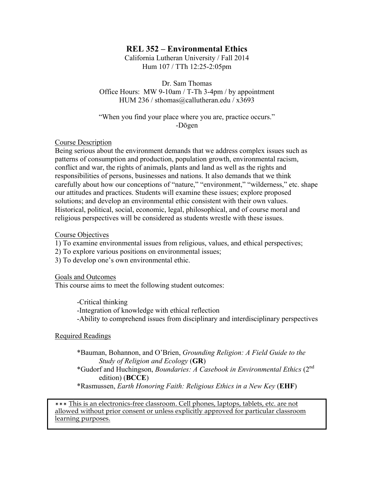# **REL 352 – Environmental Ethics**

California Lutheran University / Fall 2014 Hum 107 / TTh 12:25-2:05pm

Dr. Sam Thomas Office Hours: MW 9-10am / T-Th 3-4pm / by appointment HUM 236 / sthomas@callutheran.edu / x3693

"When you find your place where you are, practice occurs." -Dōgen

#### Course Description

Being serious about the environment demands that we address complex issues such as patterns of consumption and production, population growth, environmental racism, conflict and war, the rights of animals, plants and land as well as the rights and responsibilities of persons, businesses and nations. It also demands that we think carefully about how our conceptions of "nature," "environment," "wilderness," etc. shape our attitudes and practices. Students will examine these issues; explore proposed solutions; and develop an environmental ethic consistent with their own values. Historical, political, social, economic, legal, philosophical, and of course moral and religious perspectives will be considered as students wrestle with these issues.

#### Course Objectives

1) To examine environmental issues from religious, values, and ethical perspectives;

2) To explore various positions on environmental issues;

3) To develop one's own environmental ethic.

Goals and Outcomes

This course aims to meet the following student outcomes:

-Critical thinking -Integration of knowledge with ethical reflection -Ability to comprehend issues from disciplinary and interdisciplinary perspectives

#### Required Readings

- \*Bauman, Bohannon, and O'Brien, *Grounding Religion: A Field Guide to the Study of Religion and Ecology* (**GR**)
- \*Gudorf and Huchingson, *Boundaries: A Casebook in Environmental Ethics* (2nd edition) (**BCCE**)
- \*Rasmussen, *Earth Honoring Faith: Religious Ethics in a New Key* (**EHF**)

✴✴✴ This is an electronics-free classroom. Cell phones, laptops, tablets, etc. are not allowed without prior consent or unless explicitly approved for particular classroom learning purposes.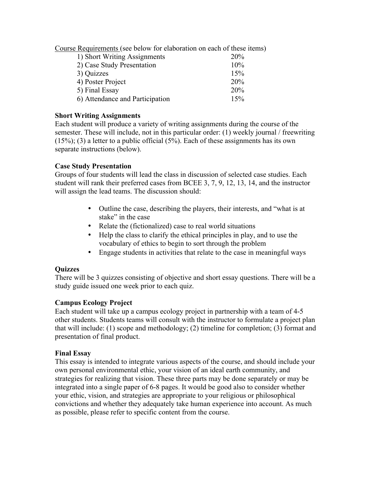Course Requirements (see below for elaboration on each of these items)

| 1) Short Writing Assignments    | 20% |
|---------------------------------|-----|
| 2) Case Study Presentation      | 10% |
| 3) Quizzes                      | 15% |
| 4) Poster Project               | 20% |
| 5) Final Essay                  | 20% |
| 6) Attendance and Participation | 15% |

### **Short Writing Assignments**

Each student will produce a variety of writing assignments during the course of the semester. These will include, not in this particular order: (1) weekly journal / freewriting  $(15\%)$ ; (3) a letter to a public official  $(5\%)$ . Each of these assignments has its own separate instructions (below).

## **Case Study Presentation**

Groups of four students will lead the class in discussion of selected case studies. Each student will rank their preferred cases from BCEE 3, 7, 9, 12, 13, 14, and the instructor will assign the lead teams. The discussion should:

- Outline the case, describing the players, their interests, and "what is at stake" in the case
- Relate the (fictionalized) case to real world situations
- Help the class to clarify the ethical principles in play, and to use the vocabulary of ethics to begin to sort through the problem
- Engage students in activities that relate to the case in meaningful ways

## **Quizzes**

There will be 3 quizzes consisting of objective and short essay questions. There will be a study guide issued one week prior to each quiz.

## **Campus Ecology Project**

Each student will take up a campus ecology project in partnership with a team of 4-5 other students. Students teams will consult with the instructor to formulate a project plan that will include: (1) scope and methodology; (2) timeline for completion; (3) format and presentation of final product.

## **Final Essay**

This essay is intended to integrate various aspects of the course, and should include your own personal environmental ethic, your vision of an ideal earth community, and strategies for realizing that vision. These three parts may be done separately or may be integrated into a single paper of 6-8 pages. It would be good also to consider whether your ethic, vision, and strategies are appropriate to your religious or philosophical convictions and whether they adequately take human experience into account. As much as possible, please refer to specific content from the course.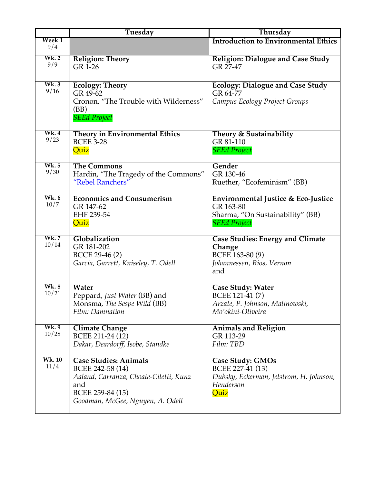|                      | Tuesday                                                                                                                                                   | Thursday                                                                                                    |
|----------------------|-----------------------------------------------------------------------------------------------------------------------------------------------------------|-------------------------------------------------------------------------------------------------------------|
| Week 1<br>9/4        |                                                                                                                                                           | <b>Introduction to Environmental Ethics</b>                                                                 |
| Wk.2<br>9/9          | <b>Religion: Theory</b><br>GR 1-26                                                                                                                        | Religion: Dialogue and Case Study<br>GR 27-47                                                               |
| Wk.3<br>9/16         | <b>Ecology: Theory</b><br>GR 49-62<br>Cronon, "The Trouble with Wilderness"<br>(BB)<br><b>SEEd Project</b>                                                | <b>Ecology: Dialogue and Case Study</b><br>GR 64-77<br>Campus Ecology Project Groups                        |
| Wk.4<br>9/23         | Theory in Environmental Ethics<br><b>BCEE 3-28</b><br>Quiz                                                                                                | Theory & Sustainability<br>GR 81-110<br><b>SEEd Project</b>                                                 |
| <b>Wk.5</b><br>9/30  | <b>The Commons</b><br>Hardin, "The Tragedy of the Commons"<br>"Rebel Ranchers"                                                                            | Gender<br>GR 130-46<br>Ruether, "Ecofeminism" (BB)                                                          |
| <b>Wk.6</b><br>10/7  | <b>Economics and Consumerism</b><br>GR 147-62<br>EHF 239-54<br>Quiz                                                                                       | Environmental Justice & Eco-Justice<br>GR 163-80<br>Sharma, "On Sustainability" (BB)<br><b>SEEd Project</b> |
| <b>Wk.7</b><br>10/14 | Globalization<br>GR 181-202<br>BCCE 29-46 (2)<br>Garcia, Garrett, Kniseley, T. Odell                                                                      | <b>Case Studies: Energy and Climate</b><br>Change<br>BCEE 163-80 (9)<br>Johannessen, Rios, Vernon<br>and    |
| Wk.8<br>10/21        | Water<br>Peppard, Just Water (BB) and<br>Monsma, The Sespe Wild (BB)<br>Film: Damnation                                                                   | <b>Case Study: Water</b><br>BCEE 121-41 (7)<br>Arzate, P. Johnson, Malinowski,<br>Mo'okini-Oliveira         |
| Wk. 9<br>10/28       | <b>Climate Change</b><br>BCEE 211-24 (12)<br>Dakar, Deardorff, Isobe, Standke                                                                             | <b>Animals and Religion</b><br>GR 113-29<br>Film: TBD                                                       |
| <b>Wk.10</b><br>11/4 | <b>Case Studies: Animals</b><br>BCEE 242-58 (14)<br>Aaland, Carranza, Choate-Ciletti, Kunz<br>and<br>BCEE 259-84 (15)<br>Goodman, McGee, Nguyen, A. Odell | Case Study: GMOs<br>BCEE 227-41 (13)<br>Dubsky, Eckerman, Jelstrom, H. Johnson,<br>Henderson<br>Quiz        |